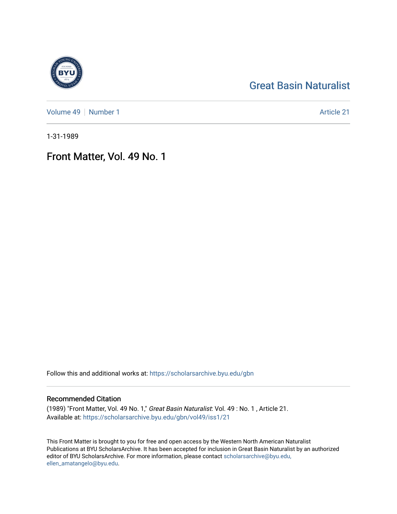## [Great Basin Naturalist](https://scholarsarchive.byu.edu/gbn)

[Volume 49](https://scholarsarchive.byu.edu/gbn/vol49) | [Number 1](https://scholarsarchive.byu.edu/gbn/vol49/iss1) Article 21

1-31-1989

## Front Matter, Vol. 49 No. 1

Follow this and additional works at: [https://scholarsarchive.byu.edu/gbn](https://scholarsarchive.byu.edu/gbn?utm_source=scholarsarchive.byu.edu%2Fgbn%2Fvol49%2Fiss1%2F21&utm_medium=PDF&utm_campaign=PDFCoverPages) 

### Recommended Citation

(1989) "Front Matter, Vol. 49 No. 1," Great Basin Naturalist: Vol. 49 : No. 1 , Article 21. Available at: [https://scholarsarchive.byu.edu/gbn/vol49/iss1/21](https://scholarsarchive.byu.edu/gbn/vol49/iss1/21?utm_source=scholarsarchive.byu.edu%2Fgbn%2Fvol49%2Fiss1%2F21&utm_medium=PDF&utm_campaign=PDFCoverPages) 

This Front Matter is brought to you for free and open access by the Western North American Naturalist Publications at BYU ScholarsArchive. It has been accepted for inclusion in Great Basin Naturalist by an authorized editor of BYU ScholarsArchive. For more information, please contact [scholarsarchive@byu.edu,](mailto:scholarsarchive@byu.edu,%20ellen_amatangelo@byu.edu) [ellen\\_amatangelo@byu.edu](mailto:scholarsarchive@byu.edu,%20ellen_amatangelo@byu.edu).

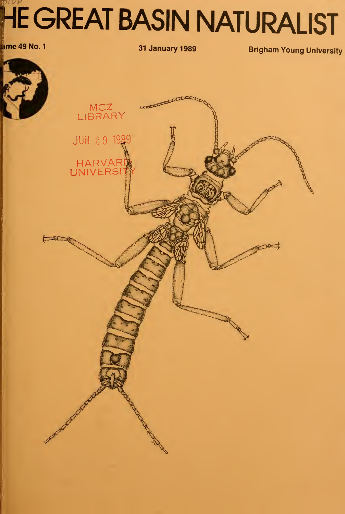# HE GREAT BASIN NATURALIST